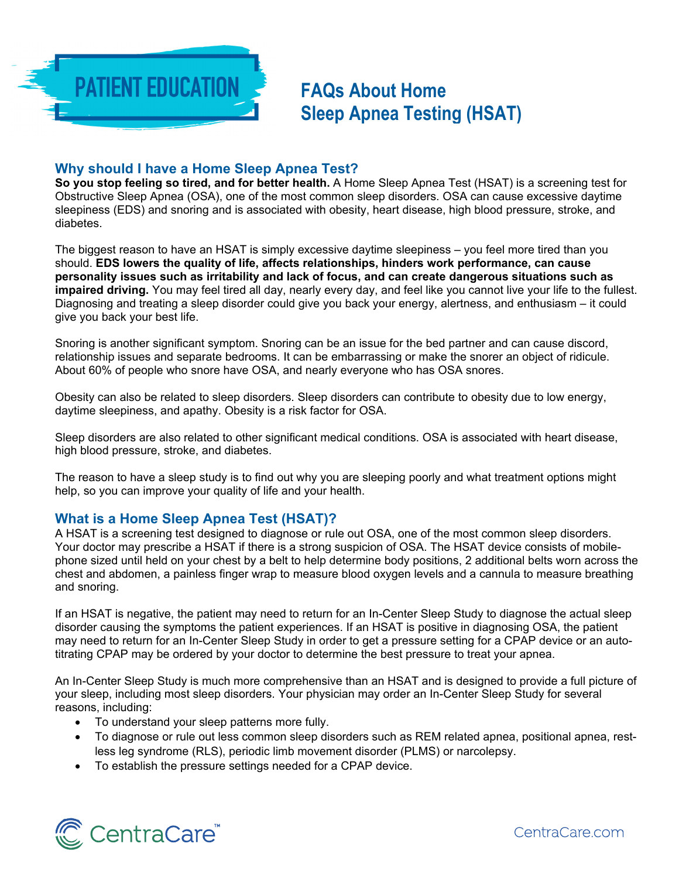

# **FAQs About Home Sleep Apnea Testing (HSAT)**

# **Why should I have a Home Sleep Apnea Test?**

**So you stop feeling so tired, and for better health.** A Home Sleep Apnea Test (HSAT) is a screening test for Obstructive Sleep Apnea (OSA), one of the most common sleep disorders. OSA can cause excessive daytime sleepiness (EDS) and snoring and is associated with obesity, heart disease, high blood pressure, stroke, and diabetes.

The biggest reason to have an HSAT is simply excessive daytime sleepiness – you feel more tired than you should. **EDS lowers the quality of life, affects relationships, hinders work performance, can cause personality issues such as irritability and lack of focus, and can create dangerous situations such as impaired driving.** You may feel tired all day, nearly every day, and feel like you cannot live your life to the fullest. Diagnosing and treating a sleep disorder could give you back your energy, alertness, and enthusiasm – it could give you back your best life.

Snoring is another significant symptom. Snoring can be an issue for the bed partner and can cause discord, relationship issues and separate bedrooms. It can be embarrassing or make the snorer an object of ridicule. About 60% of people who snore have OSA, and nearly everyone who has OSA snores.

Obesity can also be related to sleep disorders. Sleep disorders can contribute to obesity due to low energy, daytime sleepiness, and apathy. Obesity is a risk factor for OSA.

Sleep disorders are also related to other significant medical conditions. OSA is associated with heart disease, high blood pressure, stroke, and diabetes.

The reason to have a sleep study is to find out why you are sleeping poorly and what treatment options might help, so you can improve your quality of life and your health.

# **What is a Home Sleep Apnea Test (HSAT)?**

A HSAT is a screening test designed to diagnose or rule out OSA, one of the most common sleep disorders. Your doctor may prescribe a HSAT if there is a strong suspicion of OSA. The HSAT device consists of mobilephone sized until held on your chest by a belt to help determine body positions, 2 additional belts worn across the chest and abdomen, a painless finger wrap to measure blood oxygen levels and a cannula to measure breathing and snoring.

If an HSAT is negative, the patient may need to return for an In-Center Sleep Study to diagnose the actual sleep disorder causing the symptoms the patient experiences. If an HSAT is positive in diagnosing OSA, the patient may need to return for an In-Center Sleep Study in order to get a pressure setting for a CPAP device or an autotitrating CPAP may be ordered by your doctor to determine the best pressure to treat your apnea.

An In-Center Sleep Study is much more comprehensive than an HSAT and is designed to provide a full picture of your sleep, including most sleep disorders. Your physician may order an In-Center Sleep Study for several reasons, including:

- To understand your sleep patterns more fully.
- To diagnose or rule out less common sleep disorders such as REM related apnea, positional apnea, restless leg syndrome (RLS), periodic limb movement disorder (PLMS) or narcolepsy.
- To establish the pressure settings needed for a CPAP device.

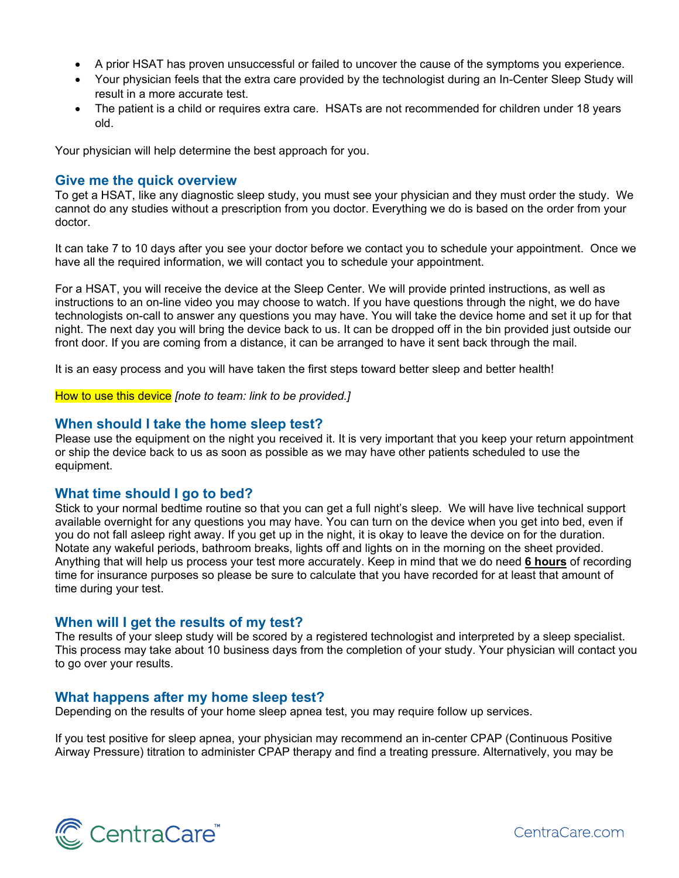- A prior HSAT has proven unsuccessful or failed to uncover the cause of the symptoms you experience.
- Your physician feels that the extra care provided by the technologist during an In-Center Sleep Study will result in a more accurate test.
- The patient is a child or requires extra care. HSATs are not recommended for children under 18 years old.

Your physician will help determine the best approach for you.

# **Give me the quick overview**

To get a HSAT, like any diagnostic sleep study, you must see your physician and they must order the study. We cannot do any studies without a prescription from you doctor. Everything we do is based on the order from your doctor.

It can take 7 to 10 days after you see your doctor before we contact you to schedule your appointment. Once we have all the required information, we will contact you to schedule your appointment.

For a HSAT, you will receive the device at the Sleep Center. We will provide printed instructions, as well as instructions to an on-line video you may choose to watch. If you have questions through the night, we do have technologists on-call to answer any questions you may have. You will take the device home and set it up for that night. The next day you will bring the device back to us. It can be dropped off in the bin provided just outside our front door. If you are coming from a distance, it can be arranged to have it sent back through the mail.

It is an easy process and you will have taken the first steps toward better sleep and better health!

#### How to use this device *[note to team: link to be provided.]*

## **When should I take the home sleep test?**

Please use the equipment on the night you received it. It is very important that you keep your return appointment or ship the device back to us as soon as possible as we may have other patients scheduled to use the equipment.

# **What time should I go to bed?**

Stick to your normal bedtime routine so that you can get a full night's sleep. We will have live technical support available overnight for any questions you may have. You can turn on the device when you get into bed, even if you do not fall asleep right away. If you get up in the night, it is okay to leave the device on for the duration. Notate any wakeful periods, bathroom breaks, lights off and lights on in the morning on the sheet provided. Anything that will help us process your test more accurately. Keep in mind that we do need **6 hours** of recording time for insurance purposes so please be sure to calculate that you have recorded for at least that amount of time during your test.

## **When will I get the results of my test?**

The results of your sleep study will be scored by a registered technologist and interpreted by a sleep specialist. This process may take about 10 business days from the completion of your study. Your physician will contact you to go over your results.

## **What happens after my home sleep test?**

Depending on the results of your home sleep apnea test, you may require follow up services.

If you test positive for sleep apnea, your physician may recommend an in-center CPAP (Continuous Positive Airway Pressure) titration to administer CPAP therapy and find a treating pressure. Alternatively, you may be